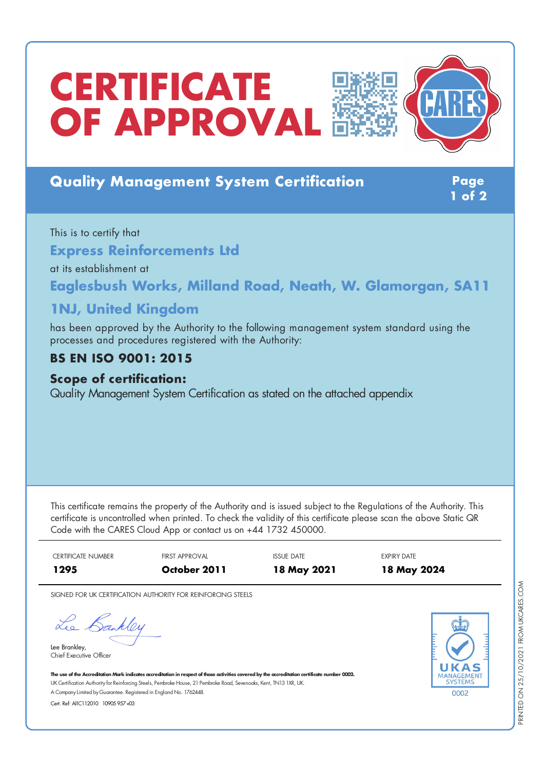# **CERTIFICATE OF APPROVAL**





## **Quality Management System Certification Page**

**1 of 2**

This is to certify that **Express Reinforcements Ltd** at its establishment at **Eaglesbush Works, Milland Road, Neath, W. Glamorgan, SA11**

## **1NJ, United Kingdom**

has been approved by the Authority to the following management system standard using the processes and procedures registered with the Authority:

## **BS EN ISO 9001: 2015**

#### **Scope of certification:**

Quality Management System Certification as stated on the attached appendix

This certificate remains the property of the Authority and is issued subject to the Regulations of the Authority. This certificate is uncontrolled when printed. To check the validity of this certificate please scan the above Static QR Code with the CARES Cloud App or contact us on +44 1732 450000.

CERTIFICATE NUMBER FIRST APPROVAL THE ISSUE DATE THE SEPIRY DATE **1295 October 2011 18 May 2021 18 May 2024**

SIGNED FOR UK CERTIFICATION AUTHORITY FOR REINFORCING STEELS

Lee Bankley

Lee Brankley, Chief Executive Officer 0002

The use of the Accreditation Mark indicates accreditation in respect of those activities covered by the accreditation certificate number 0002. UK Certification Authority for Reinforcing Steels, Pembroke House, 21 Pembroke Road, Sevenoaks, Kent, TN13 1XR, UK. A CompanyLimited byGuarantee. Registered in England No. 1762448.

Cert. Ref: AllC112010 10905 957 v03